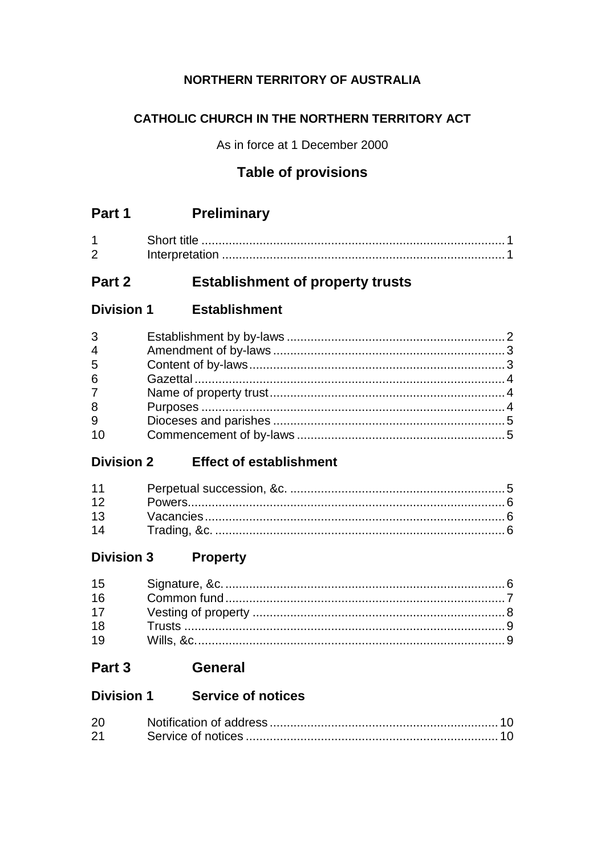## **NORTHERN TERRITORY OF AUSTRALIA**

## CATHOLIC CHURCH IN THE NORTHERN TERRITORY ACT

As in force at 1 December 2000

## **Table of provisions**

|   | Short title    |  |
|---|----------------|--|
| ⌒ | Interpretation |  |

#### **Establishment of property trusts** Part 2

#### **Division 1 Establishment**

| $3^{\circ}$     |  |
|-----------------|--|
| $\overline{4}$  |  |
| 5               |  |
| 6               |  |
| $7\overline{ }$ |  |
| 8               |  |
| 9               |  |
| 10              |  |
|                 |  |

## Division 2 Effect of establishment

| 14 |  |
|----|--|

#### **Property Division 3**

| 15 |  |
|----|--|
| 16 |  |
| 17 |  |
| 18 |  |
| 19 |  |

## Part 3 General

## Division 1 Service of notices

| 20 |  |
|----|--|
| 21 |  |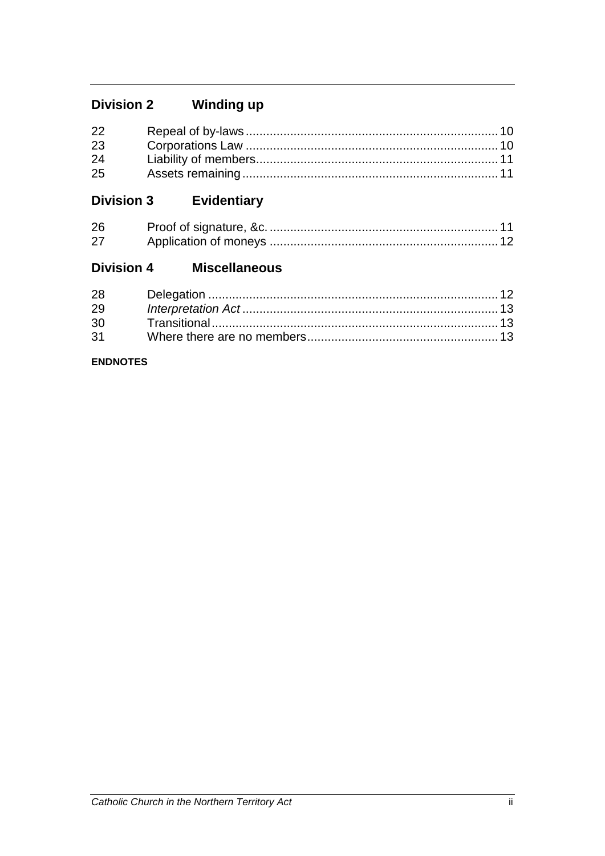#### **Winding up Division 2**

| 22 |  |
|----|--|
| 23 |  |
| 24 |  |
| 25 |  |

#### Evidentiary **Division 3**

| 26 |  |
|----|--|
| 27 |  |

#### **Miscellaneous Division 4**

| 28 |  |
|----|--|
| 29 |  |
| 30 |  |
| 31 |  |

#### **ENDNOTES**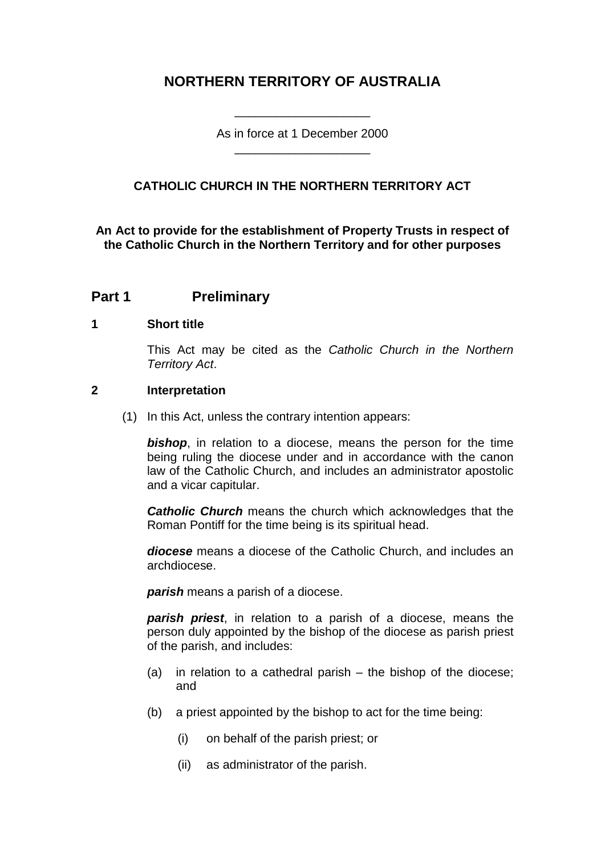## **NORTHERN TERRITORY OF AUSTRALIA**

As in force at 1 December 2000 \_\_\_\_\_\_\_\_\_\_\_\_\_\_\_\_\_\_\_\_

\_\_\_\_\_\_\_\_\_\_\_\_\_\_\_\_\_\_\_\_

## **CATHOLIC CHURCH IN THE NORTHERN TERRITORY ACT**

**An Act to provide for the establishment of Property Trusts in respect of the Catholic Church in the Northern Territory and for other purposes**

## **Part 1 Preliminary**

#### **1 Short title**

This Act may be cited as the *Catholic Church in the Northern Territory Act*.

#### **2 Interpretation**

(1) In this Act, unless the contrary intention appears:

*bishop*, in relation to a diocese, means the person for the time being ruling the diocese under and in accordance with the canon law of the Catholic Church, and includes an administrator apostolic and a vicar capitular.

*Catholic Church* means the church which acknowledges that the Roman Pontiff for the time being is its spiritual head.

*diocese* means a diocese of the Catholic Church, and includes an archdiocese.

*parish* means a parish of a diocese.

*parish priest*, in relation to a parish of a diocese, means the person duly appointed by the bishop of the diocese as parish priest of the parish, and includes:

- (a) in relation to a cathedral parish the bishop of the diocese; and
- (b) a priest appointed by the bishop to act for the time being:
	- (i) on behalf of the parish priest; or
	- (ii) as administrator of the parish.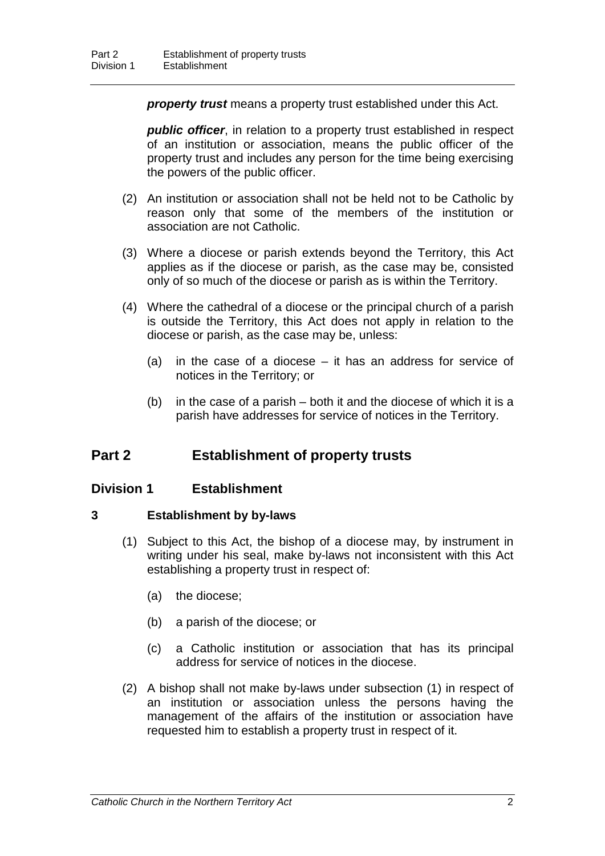*property trust* means a property trust established under this Act.

*public officer*, in relation to a property trust established in respect of an institution or association, means the public officer of the property trust and includes any person for the time being exercising the powers of the public officer.

- (2) An institution or association shall not be held not to be Catholic by reason only that some of the members of the institution or association are not Catholic.
- (3) Where a diocese or parish extends beyond the Territory, this Act applies as if the diocese or parish, as the case may be, consisted only of so much of the diocese or parish as is within the Territory.
- (4) Where the cathedral of a diocese or the principal church of a parish is outside the Territory, this Act does not apply in relation to the diocese or parish, as the case may be, unless:
	- (a) in the case of a diocese it has an address for service of notices in the Territory; or
	- (b) in the case of a parish both it and the diocese of which it is a parish have addresses for service of notices in the Territory.

## **Part 2 Establishment of property trusts**

### **Division 1 Establishment**

#### **3 Establishment by by-laws**

- (1) Subject to this Act, the bishop of a diocese may, by instrument in writing under his seal, make by-laws not inconsistent with this Act establishing a property trust in respect of:
	- (a) the diocese;
	- (b) a parish of the diocese; or
	- (c) a Catholic institution or association that has its principal address for service of notices in the diocese.
- (2) A bishop shall not make by-laws under subsection (1) in respect of an institution or association unless the persons having the management of the affairs of the institution or association have requested him to establish a property trust in respect of it.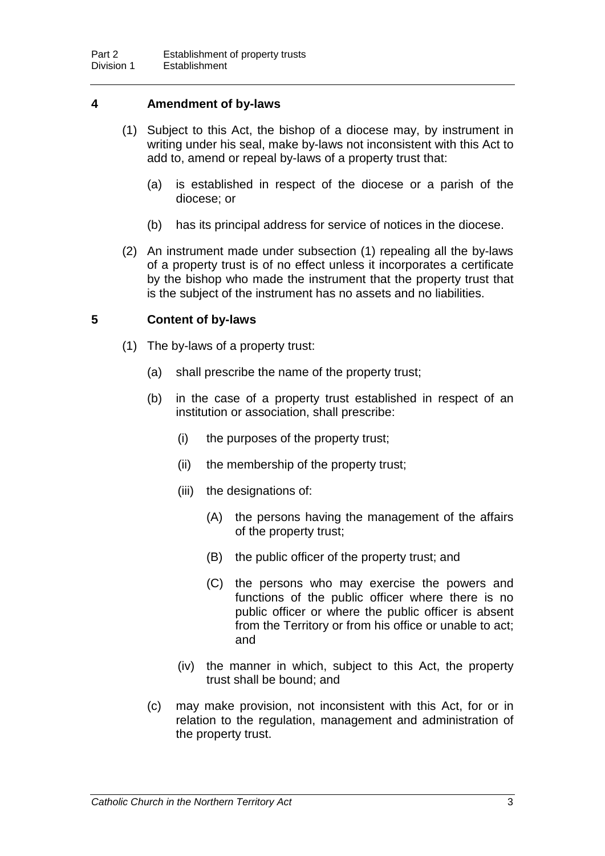#### **4 Amendment of by-laws**

- (1) Subject to this Act, the bishop of a diocese may, by instrument in writing under his seal, make by-laws not inconsistent with this Act to add to, amend or repeal by-laws of a property trust that:
	- (a) is established in respect of the diocese or a parish of the diocese; or
	- (b) has its principal address for service of notices in the diocese.
- (2) An instrument made under subsection (1) repealing all the by-laws of a property trust is of no effect unless it incorporates a certificate by the bishop who made the instrument that the property trust that is the subject of the instrument has no assets and no liabilities.

#### **5 Content of by-laws**

- (1) The by-laws of a property trust:
	- (a) shall prescribe the name of the property trust;
	- (b) in the case of a property trust established in respect of an institution or association, shall prescribe:
		- (i) the purposes of the property trust;
		- (ii) the membership of the property trust;
		- (iii) the designations of:
			- (A) the persons having the management of the affairs of the property trust;
			- (B) the public officer of the property trust; and
			- (C) the persons who may exercise the powers and functions of the public officer where there is no public officer or where the public officer is absent from the Territory or from his office or unable to act; and
		- (iv) the manner in which, subject to this Act, the property trust shall be bound; and
	- (c) may make provision, not inconsistent with this Act, for or in relation to the regulation, management and administration of the property trust.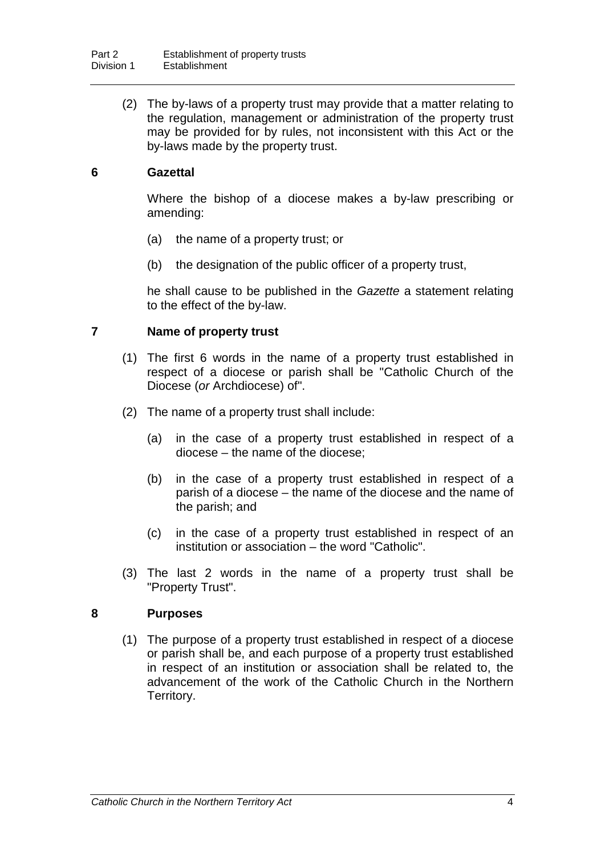(2) The by-laws of a property trust may provide that a matter relating to the regulation, management or administration of the property trust may be provided for by rules, not inconsistent with this Act or the by-laws made by the property trust.

#### **6 Gazettal**

Where the bishop of a diocese makes a by-law prescribing or amending:

- (a) the name of a property trust; or
- (b) the designation of the public officer of a property trust,

he shall cause to be published in the *Gazette* a statement relating to the effect of the by-law.

#### **7 Name of property trust**

- (1) The first 6 words in the name of a property trust established in respect of a diocese or parish shall be "Catholic Church of the Diocese (*or* Archdiocese) of".
- (2) The name of a property trust shall include:
	- (a) in the case of a property trust established in respect of a diocese – the name of the diocese;
	- (b) in the case of a property trust established in respect of a parish of a diocese – the name of the diocese and the name of the parish; and
	- (c) in the case of a property trust established in respect of an institution or association – the word "Catholic".
- (3) The last 2 words in the name of a property trust shall be "Property Trust".

#### **8 Purposes**

(1) The purpose of a property trust established in respect of a diocese or parish shall be, and each purpose of a property trust established in respect of an institution or association shall be related to, the advancement of the work of the Catholic Church in the Northern Territory.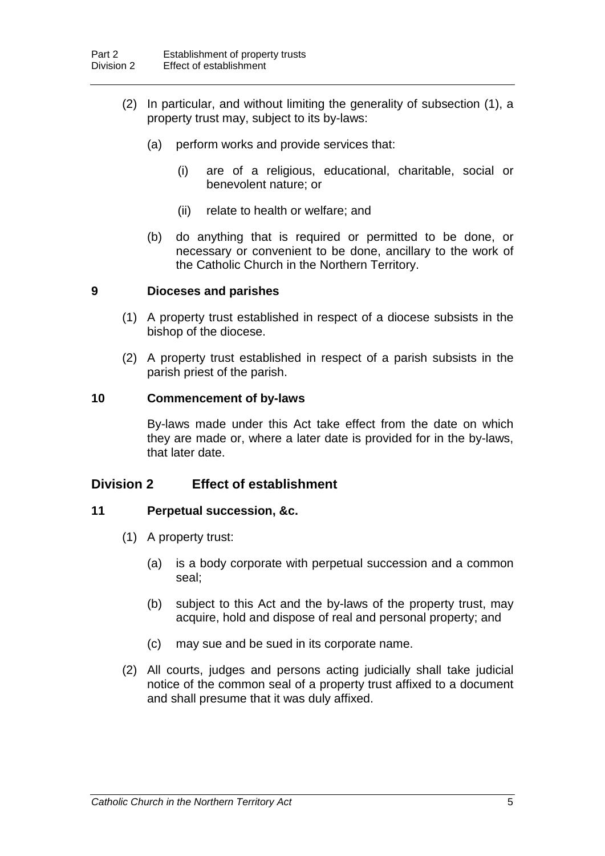- (2) In particular, and without limiting the generality of subsection (1), a property trust may, subject to its by-laws:
	- (a) perform works and provide services that:
		- (i) are of a religious, educational, charitable, social or benevolent nature; or
		- (ii) relate to health or welfare; and
	- (b) do anything that is required or permitted to be done, or necessary or convenient to be done, ancillary to the work of the Catholic Church in the Northern Territory.

#### **9 Dioceses and parishes**

- (1) A property trust established in respect of a diocese subsists in the bishop of the diocese.
- (2) A property trust established in respect of a parish subsists in the parish priest of the parish.

#### **10 Commencement of by-laws**

By-laws made under this Act take effect from the date on which they are made or, where a later date is provided for in the by-laws, that later date.

### **Division 2 Effect of establishment**

#### **11 Perpetual succession, &c.**

- (1) A property trust:
	- (a) is a body corporate with perpetual succession and a common seal;
	- (b) subject to this Act and the by-laws of the property trust, may acquire, hold and dispose of real and personal property; and
	- (c) may sue and be sued in its corporate name.
- (2) All courts, judges and persons acting judicially shall take judicial notice of the common seal of a property trust affixed to a document and shall presume that it was duly affixed.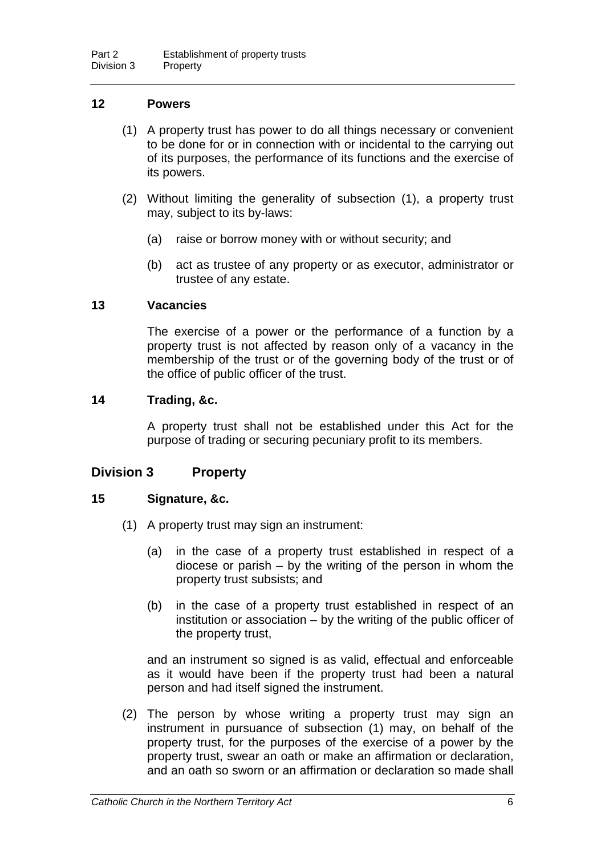#### **12 Powers**

- (1) A property trust has power to do all things necessary or convenient to be done for or in connection with or incidental to the carrying out of its purposes, the performance of its functions and the exercise of its powers.
- (2) Without limiting the generality of subsection (1), a property trust may, subject to its by-laws:
	- (a) raise or borrow money with or without security; and
	- (b) act as trustee of any property or as executor, administrator or trustee of any estate.

#### **13 Vacancies**

The exercise of a power or the performance of a function by a property trust is not affected by reason only of a vacancy in the membership of the trust or of the governing body of the trust or of the office of public officer of the trust.

#### **14 Trading, &c.**

A property trust shall not be established under this Act for the purpose of trading or securing pecuniary profit to its members.

#### **Division 3 Property**

#### **15 Signature, &c.**

- (1) A property trust may sign an instrument:
	- (a) in the case of a property trust established in respect of a diocese or parish – by the writing of the person in whom the property trust subsists; and
	- (b) in the case of a property trust established in respect of an institution or association – by the writing of the public officer of the property trust,

and an instrument so signed is as valid, effectual and enforceable as it would have been if the property trust had been a natural person and had itself signed the instrument.

(2) The person by whose writing a property trust may sign an instrument in pursuance of subsection (1) may, on behalf of the property trust, for the purposes of the exercise of a power by the property trust, swear an oath or make an affirmation or declaration, and an oath so sworn or an affirmation or declaration so made shall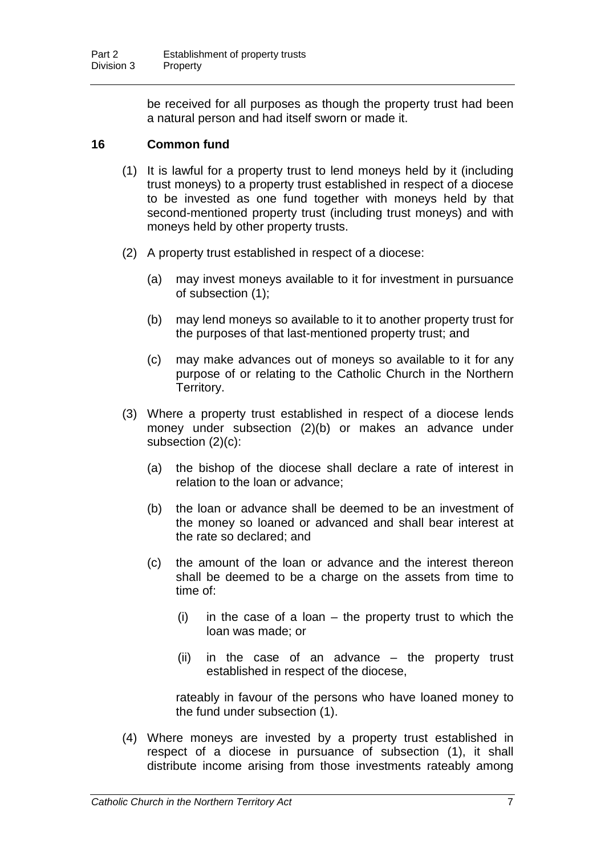be received for all purposes as though the property trust had been a natural person and had itself sworn or made it.

### **16 Common fund**

- (1) It is lawful for a property trust to lend moneys held by it (including trust moneys) to a property trust established in respect of a diocese to be invested as one fund together with moneys held by that second-mentioned property trust (including trust moneys) and with moneys held by other property trusts.
- (2) A property trust established in respect of a diocese:
	- (a) may invest moneys available to it for investment in pursuance of subsection (1);
	- (b) may lend moneys so available to it to another property trust for the purposes of that last-mentioned property trust; and
	- (c) may make advances out of moneys so available to it for any purpose of or relating to the Catholic Church in the Northern Territory.
- (3) Where a property trust established in respect of a diocese lends money under subsection (2)(b) or makes an advance under subsection (2)(c):
	- (a) the bishop of the diocese shall declare a rate of interest in relation to the loan or advance;
	- (b) the loan or advance shall be deemed to be an investment of the money so loaned or advanced and shall bear interest at the rate so declared; and
	- (c) the amount of the loan or advance and the interest thereon shall be deemed to be a charge on the assets from time to time of:
		- $(i)$  in the case of a loan the property trust to which the loan was made; or
		- (ii) in the case of an advance the property trust established in respect of the diocese,

rateably in favour of the persons who have loaned money to the fund under subsection (1).

(4) Where moneys are invested by a property trust established in respect of a diocese in pursuance of subsection (1), it shall distribute income arising from those investments rateably among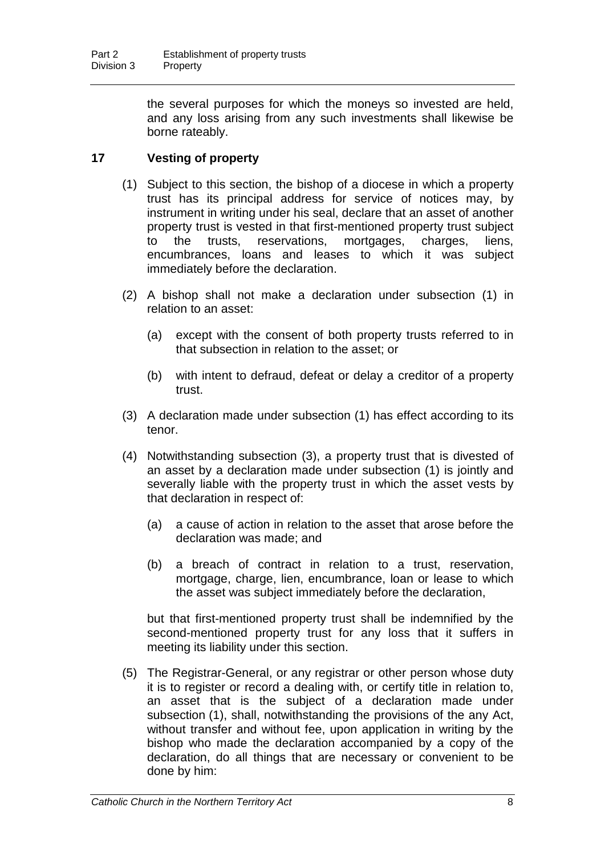the several purposes for which the moneys so invested are held, and any loss arising from any such investments shall likewise be borne rateably.

## **17 Vesting of property**

- (1) Subject to this section, the bishop of a diocese in which a property trust has its principal address for service of notices may, by instrument in writing under his seal, declare that an asset of another property trust is vested in that first-mentioned property trust subject to the trusts, reservations, mortgages, charges, liens, encumbrances, loans and leases to which it was subject immediately before the declaration.
- (2) A bishop shall not make a declaration under subsection (1) in relation to an asset:
	- (a) except with the consent of both property trusts referred to in that subsection in relation to the asset; or
	- (b) with intent to defraud, defeat or delay a creditor of a property trust.
- (3) A declaration made under subsection (1) has effect according to its tenor.
- (4) Notwithstanding subsection (3), a property trust that is divested of an asset by a declaration made under subsection (1) is jointly and severally liable with the property trust in which the asset vests by that declaration in respect of:
	- (a) a cause of action in relation to the asset that arose before the declaration was made; and
	- (b) a breach of contract in relation to a trust, reservation, mortgage, charge, lien, encumbrance, loan or lease to which the asset was subject immediately before the declaration,

but that first-mentioned property trust shall be indemnified by the second-mentioned property trust for any loss that it suffers in meeting its liability under this section.

(5) The Registrar-General, or any registrar or other person whose duty it is to register or record a dealing with, or certify title in relation to, an asset that is the subject of a declaration made under subsection (1), shall, notwithstanding the provisions of the any Act, without transfer and without fee, upon application in writing by the bishop who made the declaration accompanied by a copy of the declaration, do all things that are necessary or convenient to be done by him: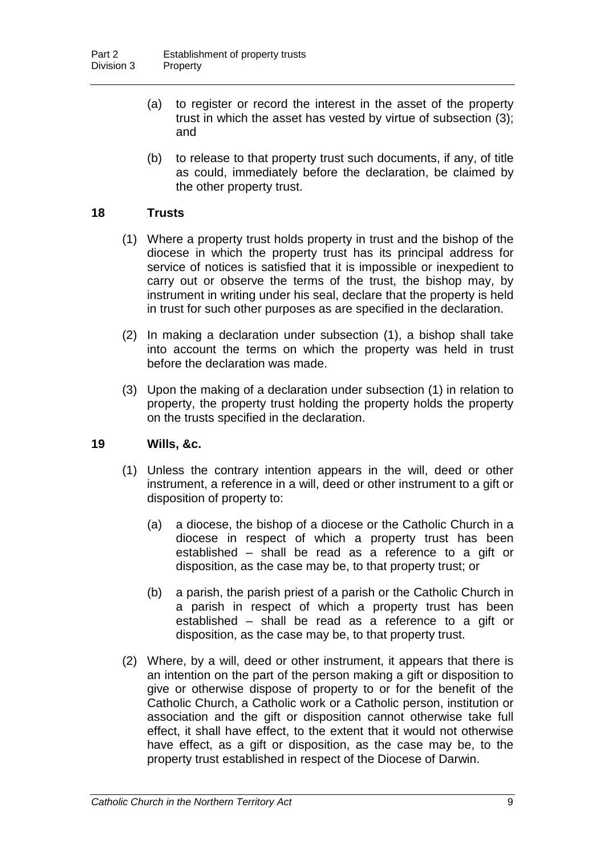- (a) to register or record the interest in the asset of the property trust in which the asset has vested by virtue of subsection (3); and
- (b) to release to that property trust such documents, if any, of title as could, immediately before the declaration, be claimed by the other property trust.

#### **18 Trusts**

- (1) Where a property trust holds property in trust and the bishop of the diocese in which the property trust has its principal address for service of notices is satisfied that it is impossible or inexpedient to carry out or observe the terms of the trust, the bishop may, by instrument in writing under his seal, declare that the property is held in trust for such other purposes as are specified in the declaration.
- (2) In making a declaration under subsection (1), a bishop shall take into account the terms on which the property was held in trust before the declaration was made.
- (3) Upon the making of a declaration under subsection (1) in relation to property, the property trust holding the property holds the property on the trusts specified in the declaration.

#### **19 Wills, &c.**

- (1) Unless the contrary intention appears in the will, deed or other instrument, a reference in a will, deed or other instrument to a gift or disposition of property to:
	- (a) a diocese, the bishop of a diocese or the Catholic Church in a diocese in respect of which a property trust has been established – shall be read as a reference to a gift or disposition, as the case may be, to that property trust; or
	- (b) a parish, the parish priest of a parish or the Catholic Church in a parish in respect of which a property trust has been established – shall be read as a reference to a gift or disposition, as the case may be, to that property trust.
- (2) Where, by a will, deed or other instrument, it appears that there is an intention on the part of the person making a gift or disposition to give or otherwise dispose of property to or for the benefit of the Catholic Church, a Catholic work or a Catholic person, institution or association and the gift or disposition cannot otherwise take full effect, it shall have effect, to the extent that it would not otherwise have effect, as a gift or disposition, as the case may be, to the property trust established in respect of the Diocese of Darwin.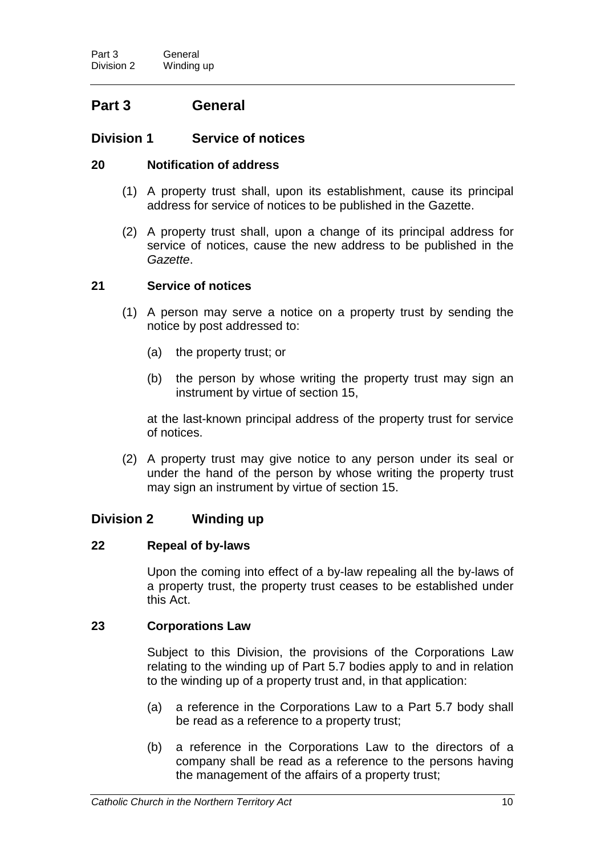## **Part 3 General**

## **Division 1 Service of notices**

#### **20 Notification of address**

- (1) A property trust shall, upon its establishment, cause its principal address for service of notices to be published in the Gazette.
- (2) A property trust shall, upon a change of its principal address for service of notices, cause the new address to be published in the *Gazette*.

#### **21 Service of notices**

- (1) A person may serve a notice on a property trust by sending the notice by post addressed to:
	- (a) the property trust; or
	- (b) the person by whose writing the property trust may sign an instrument by virtue of section 15,

at the last-known principal address of the property trust for service of notices.

(2) A property trust may give notice to any person under its seal or under the hand of the person by whose writing the property trust may sign an instrument by virtue of section 15.

### **Division 2 Winding up**

#### **22 Repeal of by-laws**

Upon the coming into effect of a by-law repealing all the by-laws of a property trust, the property trust ceases to be established under this Act.

#### **23 Corporations Law**

Subject to this Division, the provisions of the Corporations Law relating to the winding up of Part 5.7 bodies apply to and in relation to the winding up of a property trust and, in that application:

- (a) a reference in the Corporations Law to a Part 5.7 body shall be read as a reference to a property trust;
- (b) a reference in the Corporations Law to the directors of a company shall be read as a reference to the persons having the management of the affairs of a property trust;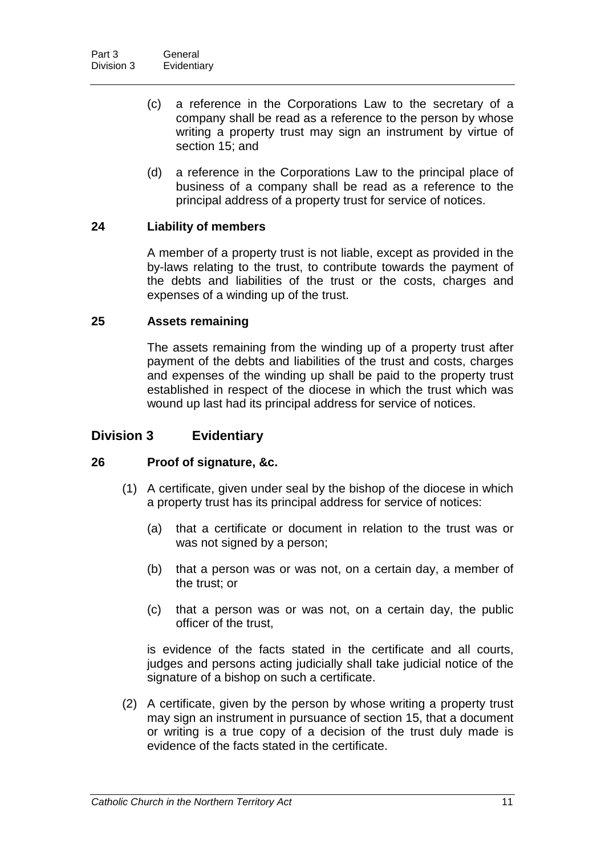- (c) a reference in the Corporations Law to the secretary of a company shall be read as a reference to the person by whose writing a property trust may sign an instrument by virtue of section 15; and
- (d) a reference in the Corporations Law to the principal place of business of a company shall be read as a reference to the principal address of a property trust for service of notices.

#### **24 Liability of members**

A member of a property trust is not liable, except as provided in the by-laws relating to the trust, to contribute towards the payment of the debts and liabilities of the trust or the costs, charges and expenses of a winding up of the trust.

#### **25 Assets remaining**

The assets remaining from the winding up of a property trust after payment of the debts and liabilities of the trust and costs, charges and expenses of the winding up shall be paid to the property trust established in respect of the diocese in which the trust which was wound up last had its principal address for service of notices.

## **Division 3 Evidentiary**

### **26 Proof of signature, &c.**

- (1) A certificate, given under seal by the bishop of the diocese in which a property trust has its principal address for service of notices:
	- (a) that a certificate or document in relation to the trust was or was not signed by a person;
	- (b) that a person was or was not, on a certain day, a member of the trust; or
	- (c) that a person was or was not, on a certain day, the public officer of the trust,

is evidence of the facts stated in the certificate and all courts, judges and persons acting judicially shall take judicial notice of the signature of a bishop on such a certificate.

(2) A certificate, given by the person by whose writing a property trust may sign an instrument in pursuance of section 15, that a document or writing is a true copy of a decision of the trust duly made is evidence of the facts stated in the certificate.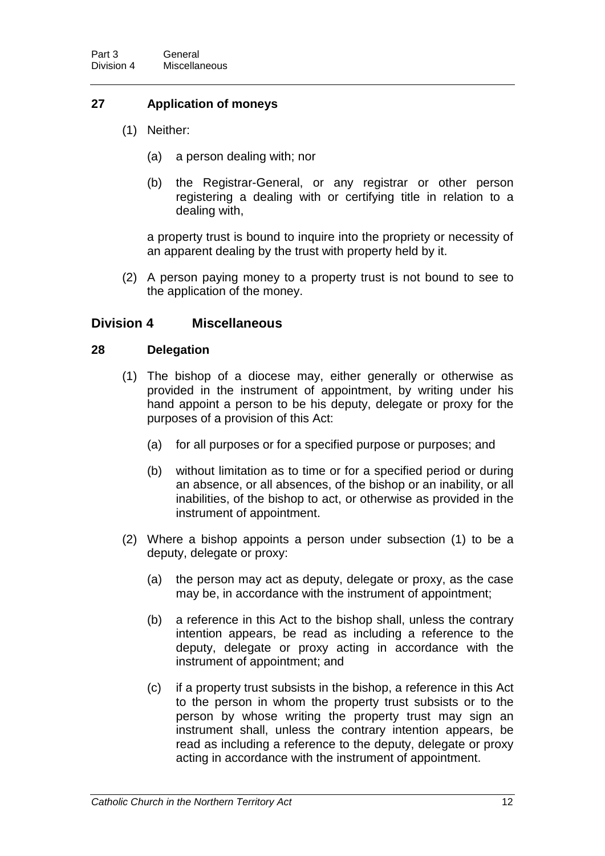### **27 Application of moneys**

- (1) Neither:
	- (a) a person dealing with; nor
	- (b) the Registrar-General, or any registrar or other person registering a dealing with or certifying title in relation to a dealing with,

a property trust is bound to inquire into the propriety or necessity of an apparent dealing by the trust with property held by it.

(2) A person paying money to a property trust is not bound to see to the application of the money.

#### **Division 4 Miscellaneous**

#### **28 Delegation**

- (1) The bishop of a diocese may, either generally or otherwise as provided in the instrument of appointment, by writing under his hand appoint a person to be his deputy, delegate or proxy for the purposes of a provision of this Act:
	- (a) for all purposes or for a specified purpose or purposes; and
	- (b) without limitation as to time or for a specified period or during an absence, or all absences, of the bishop or an inability, or all inabilities, of the bishop to act, or otherwise as provided in the instrument of appointment.
- (2) Where a bishop appoints a person under subsection (1) to be a deputy, delegate or proxy:
	- (a) the person may act as deputy, delegate or proxy, as the case may be, in accordance with the instrument of appointment;
	- (b) a reference in this Act to the bishop shall, unless the contrary intention appears, be read as including a reference to the deputy, delegate or proxy acting in accordance with the instrument of appointment; and
	- (c) if a property trust subsists in the bishop, a reference in this Act to the person in whom the property trust subsists or to the person by whose writing the property trust may sign an instrument shall, unless the contrary intention appears, be read as including a reference to the deputy, delegate or proxy acting in accordance with the instrument of appointment.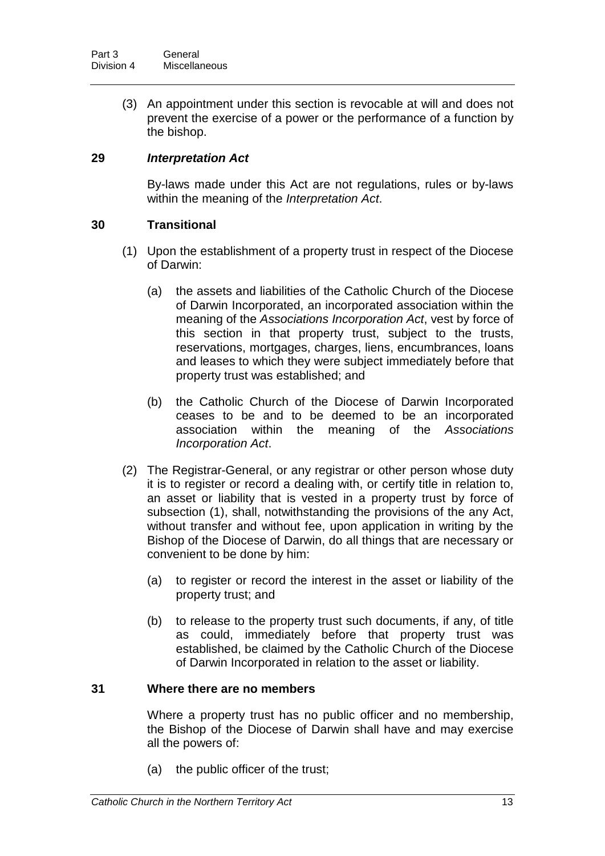(3) An appointment under this section is revocable at will and does not prevent the exercise of a power or the performance of a function by the bishop.

### **29** *Interpretation Act*

By-laws made under this Act are not regulations, rules or by-laws within the meaning of the *Interpretation Act*.

#### **30 Transitional**

- (1) Upon the establishment of a property trust in respect of the Diocese of Darwin:
	- (a) the assets and liabilities of the Catholic Church of the Diocese of Darwin Incorporated, an incorporated association within the meaning of the *Associations Incorporation Act*, vest by force of this section in that property trust, subject to the trusts, reservations, mortgages, charges, liens, encumbrances, loans and leases to which they were subject immediately before that property trust was established; and
	- (b) the Catholic Church of the Diocese of Darwin Incorporated ceases to be and to be deemed to be an incorporated association within the meaning of the *Associations Incorporation Act*.
- (2) The Registrar-General, or any registrar or other person whose duty it is to register or record a dealing with, or certify title in relation to, an asset or liability that is vested in a property trust by force of subsection (1), shall, notwithstanding the provisions of the any Act, without transfer and without fee, upon application in writing by the Bishop of the Diocese of Darwin, do all things that are necessary or convenient to be done by him:
	- (a) to register or record the interest in the asset or liability of the property trust; and
	- (b) to release to the property trust such documents, if any, of title as could, immediately before that property trust was established, be claimed by the Catholic Church of the Diocese of Darwin Incorporated in relation to the asset or liability.

#### **31 Where there are no members**

Where a property trust has no public officer and no membership, the Bishop of the Diocese of Darwin shall have and may exercise all the powers of:

(a) the public officer of the trust;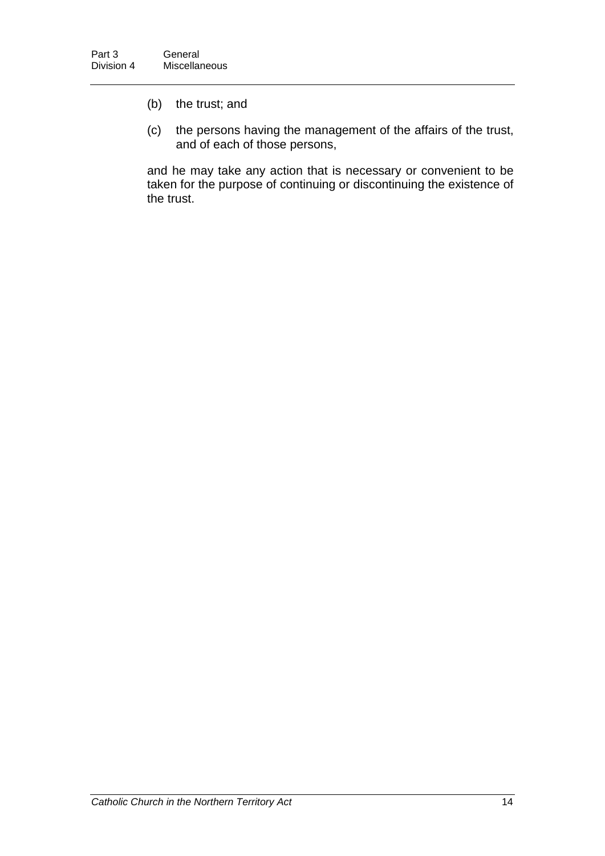- (b) the trust; and
- (c) the persons having the management of the affairs of the trust, and of each of those persons,

and he may take any action that is necessary or convenient to be taken for the purpose of continuing or discontinuing the existence of the trust.